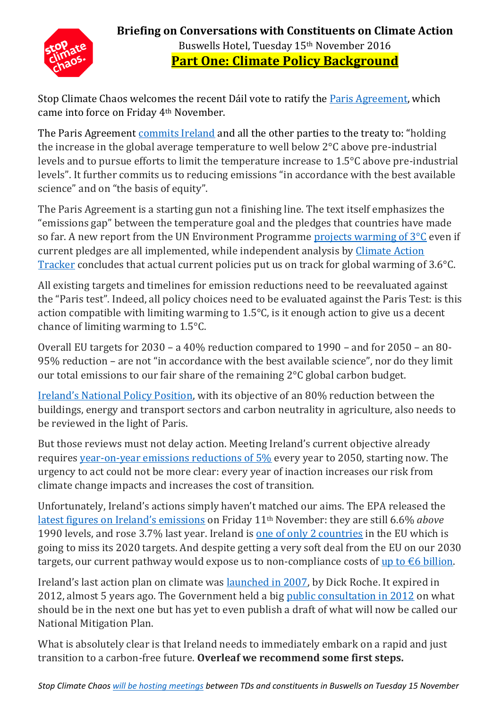

Stop Climate Chaos welcomes the recent Dáil vote to ratify the [Paris Agreement,](http://unfccc.int/paris_agreement/items/9485.php) which came into force on Friday 4th November.

The Paris Agreement [commits Ireland](http://www.foe.ie/imglibrary/2016/10/201610270742501.png) and all the other parties to the treaty to: "holding the increase in the global average temperature to well below 2°C above pre-industrial levels and to pursue efforts to limit the temperature increase to 1.5°C above pre-industrial levels". It further commits us to reducing emissions "in accordance with the best available science" and on "the basis of equity".

The Paris Agreement is a starting gun not a finishing line. The text itself emphasizes the "emissions gap" between the temperature goal and the pledges that countries have made so far. A new report from the UN Environment Programme projects warming of  $3^{\circ}C$  even if current pledges are all implemented, while independent analysis by [Climate Action](http://www.climateactiontracker.org/)  [Tracker](http://www.climateactiontracker.org/) concludes that actual current policies put us on track for global warming of 3.6°C.

All existing targets and timelines for emission reductions need to be reevaluated against the "Paris test". Indeed, all policy choices need to be evaluated against the Paris Test: is this action compatible with limiting warming to  $1.5^{\circ}$ C, is it enough action to give us a decent chance of limiting warming to 1.5°C.

Overall EU targets for 2030 – a 40% reduction compared to 1990 – and for 2050 – an 80- 95% reduction – are not "in accordance with the best available science", nor do they limit our total emissions to our fair share of the remaining 2°C global carbon budget.

[Ireland's National Policy Position](http://www.housing.gov.ie/sites/default/files/migrated-files/en/Publications/Environment/Atmosphere/FileDownLoad,37827,en.pdf), with its objective of an 80% reduction between the buildings, energy and transport sectors and carbon neutrality in agriculture, also needs to be reviewed in the light of Paris.

But those reviews must not delay action. Meeting Ireland's current objective already requires [year-on-year emissions reductions of 5%](http://www.antaisce.org/articles/is-irelands-climate-policy-credible-video-quickfire-slideshow) every year to 2050, starting now. The urgency to act could not be more clear: every year of inaction increases our risk from climate change impacts and increases the cost of transition.

Unfortunately, Ireland's actions simply haven't matched our aims. The EPA released the latest figures on [Ireland's emissions](http://bit.ly/EPAGHG15a) on Friday 11th November: they are still 6.6% *above* 1990 levels, and rose 3.7% last year. Ireland is [one of only 2 countries](http://green-budget.eu/ireland-is-the-second-worst-in-europe-for-climate-change-emissions/) in the EU which is going to miss its 2020 targets. And despite getting a very soft deal from the EU on our 2030 targets, our current pathway would expose us to non-compliance costs of up to  $\epsilon$ 6 billion.

Ireland's last action plan on climate was **launched in 2007**, by Dick Roche. It expired in 2012, almost 5 years ago. The Government held a big [public consultation in 2012](http://www.merrionstreet.ie/en/Category-Index/Environment/Climate-Change/hogan-releases-results-of-climate-policy-consultation.html) on what should be in the next one but has yet to even publish a draft of what will now be called our National Mitigation Plan.

What is absolutely clear is that Ireland needs to immediately embark on a rapid and just transition to a carbon-free future. **Overleaf we recommend some first steps.**